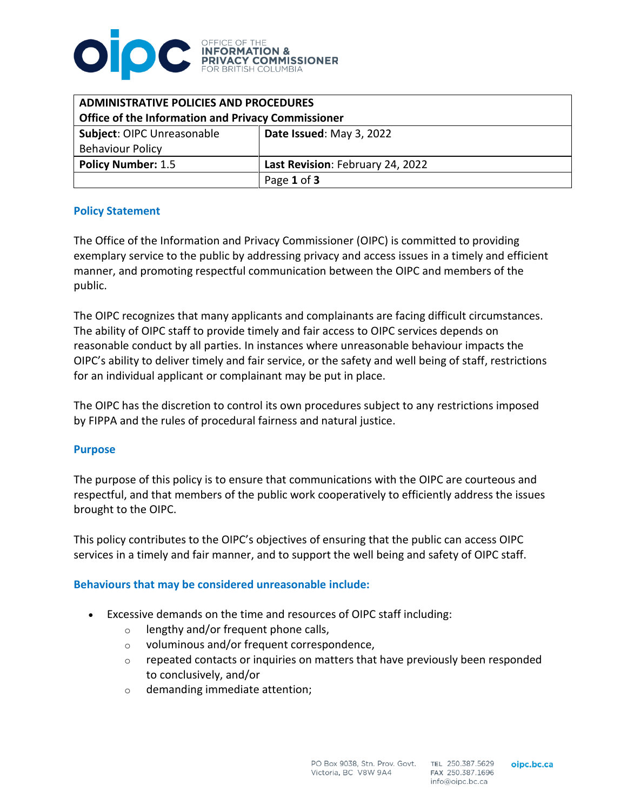

| <b>ADMINISTRATIVE POLICIES AND PROCEDURES</b><br>Office of the Information and Privacy Commissioner |                                  |
|-----------------------------------------------------------------------------------------------------|----------------------------------|
| Subject: OIPC Unreasonable<br><b>Behaviour Policy</b>                                               | Date Issued: May 3, 2022         |
| <b>Policy Number: 1.5</b>                                                                           | Last Revision: February 24, 2022 |
|                                                                                                     | Page 1 of 3                      |

### **Policy Statement**

The Office of the Information and Privacy Commissioner (OIPC) is committed to providing exemplary service to the public by addressing privacy and access issues in a timely and efficient manner, and promoting respectful communication between the OIPC and members of the public.

The OIPC recognizes that many applicants and complainants are facing difficult circumstances. The ability of OIPC staff to provide timely and fair access to OIPC services depends on reasonable conduct by all parties. In instances where unreasonable behaviour impacts the OIPC's ability to deliver timely and fair service, or the safety and well being of staff, restrictions for an individual applicant or complainant may be put in place.

The OIPC has the discretion to control its own procedures subject to any restrictions imposed by FIPPA and the rules of procedural fairness and natural justice.

### **Purpose**

The purpose of this policy is to ensure that communications with the OIPC are courteous and respectful, and that members of the public work cooperatively to efficiently address the issues brought to the OIPC.

This policy contributes to the OIPC's objectives of ensuring that the public can access OIPC services in a timely and fair manner, and to support the well being and safety of OIPC staff.

### **Behaviours that may be considered unreasonable include:**

- Excessive demands on the time and resources of OIPC staff including:
	- o lengthy and/or frequent phone calls,
	- o voluminous and/or frequent correspondence,
	- $\circ$  repeated contacts or inquiries on matters that have previously been responded to conclusively, and/or
	- o demanding immediate attention;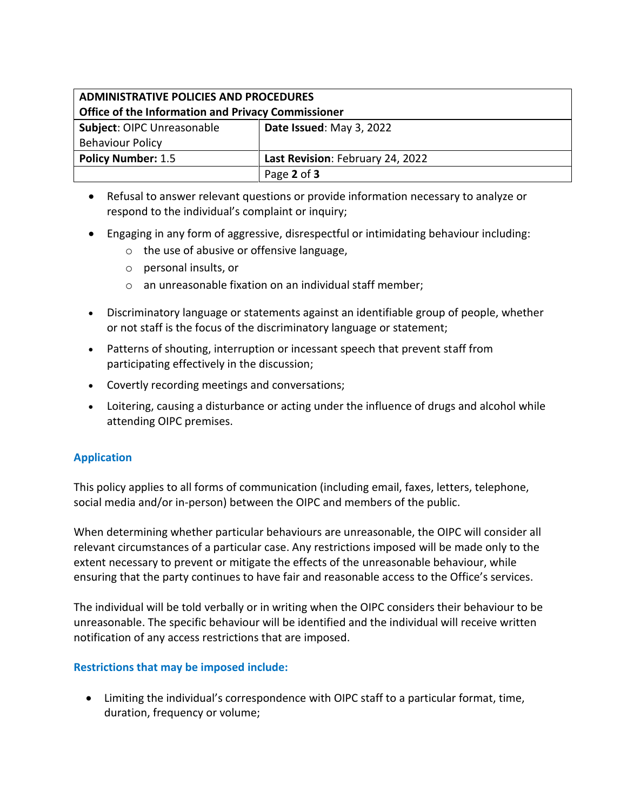# **ADMINISTRATIVE POLICIES AND PROCEDURES Office of the Information and Privacy Commissioner**

| <b>Subject: OIPC Unreasonable</b> | Date Issued: May 3, 2022         |
|-----------------------------------|----------------------------------|
| <b>Behaviour Policy</b>           |                                  |
| <b>Policy Number: 1.5</b>         | Last Revision: February 24, 2022 |
|                                   | Page 2 of 3                      |

- Refusal to answer relevant questions or provide information necessary to analyze or respond to the individual's complaint or inquiry;
- Engaging in any form of aggressive, disrespectful or intimidating behaviour including:
	- o the use of abusive or offensive language,
	- o personal insults, or
	- o an unreasonable fixation on an individual staff member;
- Discriminatory language or statements against an identifiable group of people, whether or not staff is the focus of the discriminatory language or statement;
- Patterns of shouting, interruption or incessant speech that prevent staff from participating effectively in the discussion;
- Covertly recording meetings and conversations;
- Loitering, causing a disturbance or acting under the influence of drugs and alcohol while attending OIPC premises.

# **Application**

This policy applies to all forms of communication (including email, faxes, letters, telephone, social media and/or in-person) between the OIPC and members of the public.

When determining whether particular behaviours are unreasonable, the OIPC will consider all relevant circumstances of a particular case. Any restrictions imposed will be made only to the extent necessary to prevent or mitigate the effects of the unreasonable behaviour, while ensuring that the party continues to have fair and reasonable access to the Office's services.

The individual will be told verbally or in writing when the OIPC considers their behaviour to be unreasonable. The specific behaviour will be identified and the individual will receive written notification of any access restrictions that are imposed.

# **Restrictions that may be imposed include:**

• Limiting the individual's correspondence with OIPC staff to a particular format, time, duration, frequency or volume;